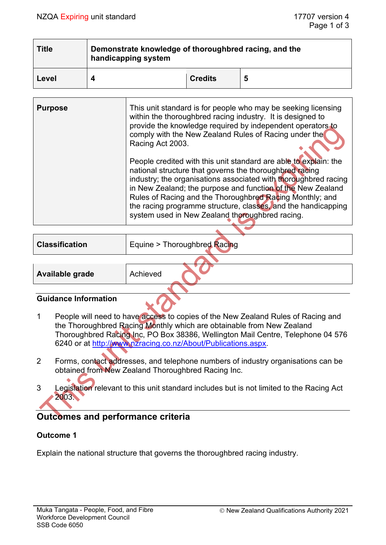| <b>Title</b> | Demonstrate knowledge of thoroughbred racing, and the<br>handicapping system |                |   |  |
|--------------|------------------------------------------------------------------------------|----------------|---|--|
| Level        |                                                                              | <b>Credits</b> | 5 |  |

| <b>Purpose</b> | This unit standard is for people who may be seeking licensing<br>within the thoroughbred racing industry. It is designed to<br>provide the knowledge required by independent operators to<br>comply with the New Zealand Rules of Racing under the<br>Racing Act 2003.                                                                                                                                                                        |
|----------------|-----------------------------------------------------------------------------------------------------------------------------------------------------------------------------------------------------------------------------------------------------------------------------------------------------------------------------------------------------------------------------------------------------------------------------------------------|
|                | People credited with this unit standard are able to explain: the<br>national structure that governs the thoroughbred racing<br>industry; the organisations associated with thoroughbred racing<br>in New Zealand; the purpose and function of the New Zealand<br>Rules of Racing and the Thoroughbred Racing Monthly; and<br>the racing programme structure, classes, and the handicapping<br>system used in New Zealand thoroughbred racing. |

| <b>Classification</b> | Equine > Thoroughbred Racing |  |  |  |
|-----------------------|------------------------------|--|--|--|
|                       |                              |  |  |  |
| Available grade       | Achieved                     |  |  |  |

#### **Guidance Information**

- 1 People will need to have access to copies of the New Zealand Rules of Racing and the Thoroughbred Racing Monthly which are obtainable from New Zealand Thoroughbred Racing Inc, PO Box 38386, Wellington Mail Centre, Telephone 04 576 6240 or at [http://www.nzracing.co.nz/About/Publications.aspx.](http://www.nzracing.co.nz/About/Publications.aspx)
- 2 Forms, contact addresses, and telephone numbers of industry organisations can be obtained from New Zealand Thoroughbred Racing Inc.
- 3 Legislation relevant to this unit standard includes but is not limited to the Racing Act 2003.

# **Outcomes and performance criteria**

## **Outcome 1**

Explain the national structure that governs the thoroughbred racing industry.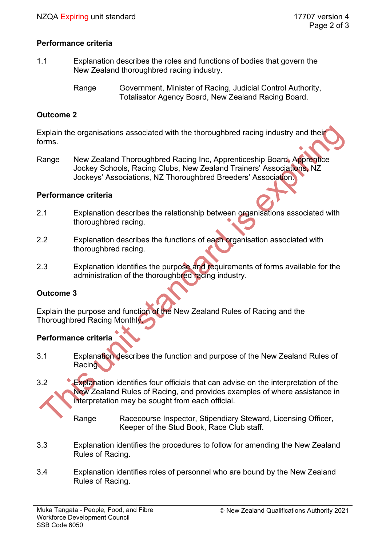### **Performance criteria**

1.1 Explanation describes the roles and functions of bodies that govern the New Zealand thoroughbred racing industry.

### **Outcome 2**

Explain the organisations associated with the thoroughbred racing industry and their forms.

Range New Zealand Thoroughbred Racing Inc, Apprenticeship Board, Apprentice Jockey Schools, Racing Clubs, New Zealand Trainers' Associations, NZ Jockeys' Associations, NZ Thoroughbred Breeders' Association.

#### **Performance criteria**

- 2.1 Explanation describes the relationship between organisations associated with thoroughbred racing.
- 2.2 Explanation describes the functions of each organisation associated with thoroughbred racing.
- 2.3 Explanation identifies the purpose and requirements of forms available for the administration of the thoroughbred racing industry.

#### **Outcome 3**

Explain the purpose and function of the New Zealand Rules of Racing and the Thoroughbred Racing Monthly.

## **Performance criteria**

- 3.1 Explanation describes the function and purpose of the New Zealand Rules of Racing.
- 3.2 Explanation identifies four officials that can advise on the interpretation of the New Zealand Rules of Racing, and provides examples of where assistance in interpretation may be sought from each official.

Range Racecourse Inspector, Stipendiary Steward, Licensing Officer, Keeper of the Stud Book, Race Club staff.

- 3.3 Explanation identifies the procedures to follow for amending the New Zealand Rules of Racing.
- 3.4 Explanation identifies roles of personnel who are bound by the New Zealand Rules of Racing.

Range Government, Minister of Racing, Judicial Control Authority, Totalisator Agency Board, New Zealand Racing Board.